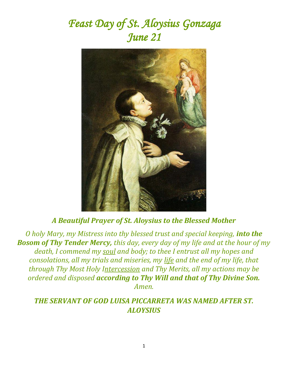# *Feast Day of St. Aloysius Gonzaga June 21*



## *A Beautiful Prayer of St. Aloysius to the Blessed Mother*

*O holy Mary, my Mistress into thy blessed trust and special keeping, into the Bosom of Thy Tender Mercy, this day, every day of my life and at the hour of my death, I commend my [soul](http://www.catholic.org/encyclopedia/view.php?id=10963) and body; to thee I entrust all my hopes and consolations, all my trials and miseries, my [life](http://www.catholic.org/encyclopedia/view.php?id=7101) and the end of my life, that through Thy Most Holy [Intercession](http://www.catholic.org/encyclopedia/view.php?id=6146) and Thy Merits, all my actions may be ordered and disposed according to Thy Will and that of Thy Divine Son. Amen.*

#### *THE SERVANT OF GOD LUISA PICCARRETA WAS NAMED AFTER ST. ALOYSIUS*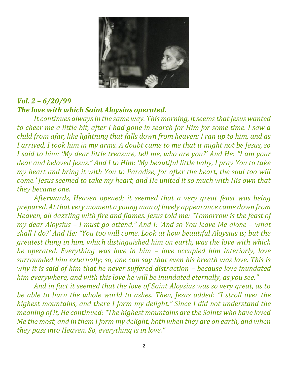

## *Vol. 2 – 6/20/99 The love with which Saint Aloysius operated.*

*It continues always in the same way. This morning, it seems that Jesus wanted to cheer me a little bit, after I had gone in search for Him for some time. I saw a child from afar, like lightning that falls down from heaven; I ran up to him, and as I arrived, I took him in my arms. A doubt came to me that it might not be Jesus, so I said to him: 'My dear little treasure, tell me, who are you?' And He: "I am your dear and beloved Jesus." And I to Him: 'My beautiful little baby, I pray You to take my heart and bring it with You to Paradise, for after the heart, the soul too will come.' Jesus seemed to take my heart, and He united it so much with His own that they became one.* 

*Afterwards, Heaven opened; it seemed that a very great feast was being prepared. At that very moment a young man of lovely appearance came down from Heaven, all dazzling with fire and flames. Jesus told me: "Tomorrow is the feast of my dear Aloysius – I must go attend." And I: 'And so You leave Me alone – what shall I do?' And He: "You too will come. Look at how beautiful Aloysius is; but the greatest thing in him, which distinguished him on earth, was the love with which he operated. Everything was love in him – love occupied him interiorly, love surrounded him externally; so, one can say that even his breath was love. This is why it is said of him that he never suffered distraction – because love inundated him everywhere, and with this love he will be inundated eternally, as you see."*

*And in fact it seemed that the love of Saint Aloysius was so very great, as to be able to burn the whole world to ashes. Then, Jesus added: "I stroll over the highest mountains, and there I form my delight." Since I did not understand the meaning of it, He continued: "The highest mountains are the Saints who have loved Me the most, and in them I form my delight, both when they are on earth, and when they pass into Heaven. So, everything is in love."*